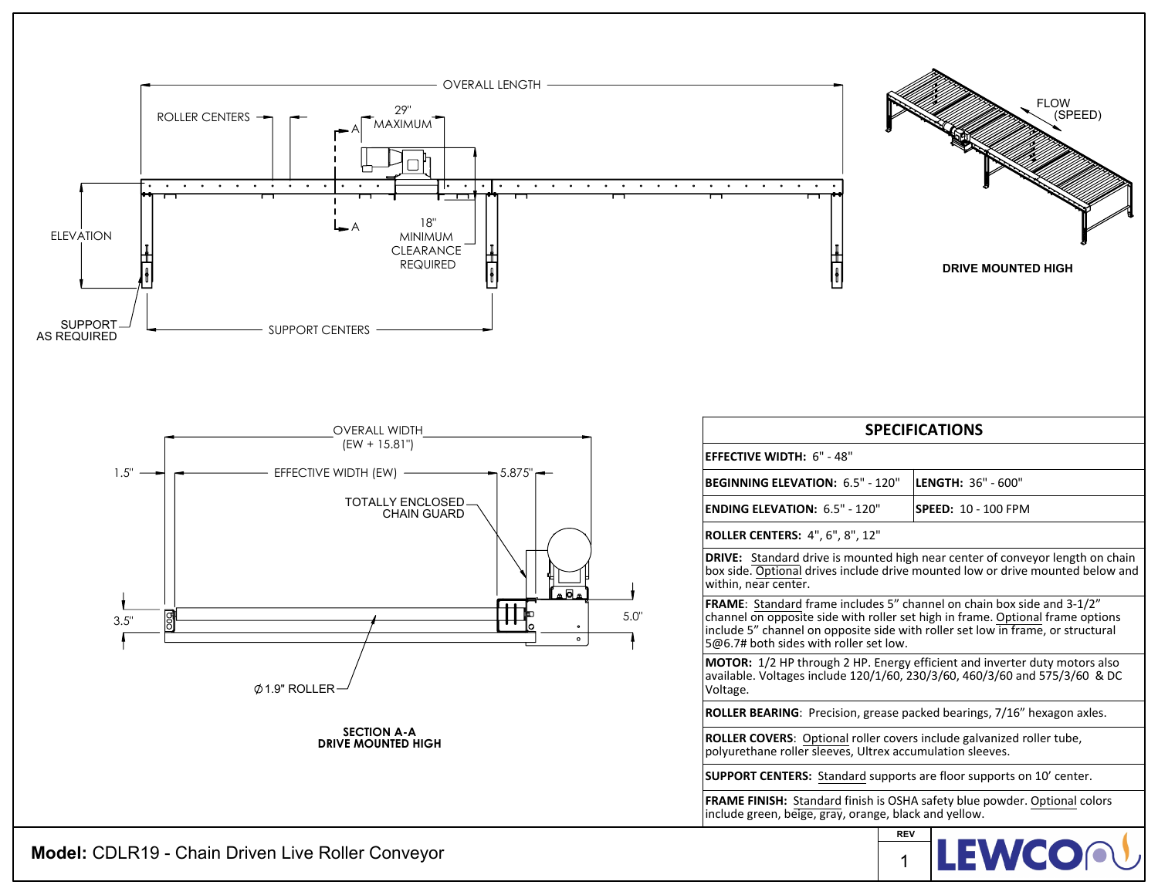

**Model:** CDLR19 - Chain Driven Live Roller Conveyor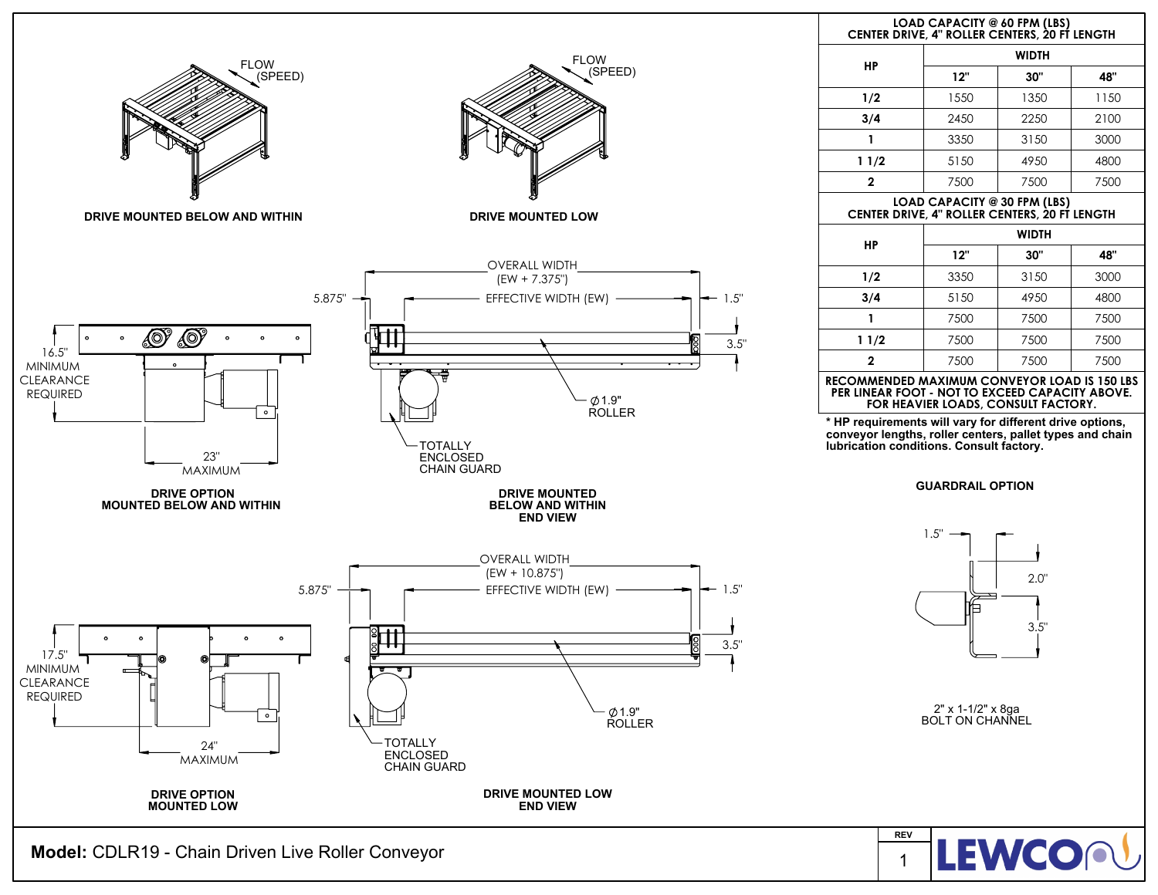

**Model:** CDLR19 - Chain Driven Live Roller Conveyor